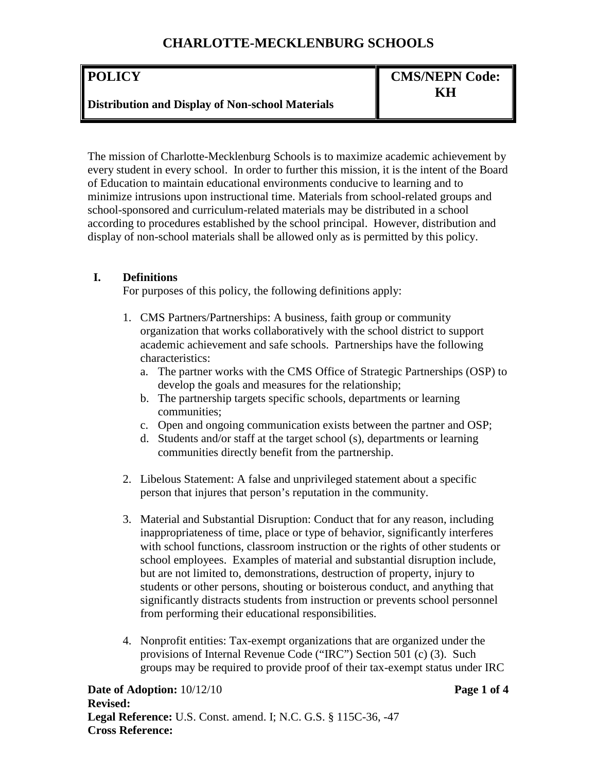| <b>POLICY</b>                                           | <b>CMS/NEPN Code:</b> |
|---------------------------------------------------------|-----------------------|
| <b>Distribution and Display of Non-school Materials</b> | KН                    |

The mission of Charlotte-Mecklenburg Schools is to maximize academic achievement by every student in every school. In order to further this mission, it is the intent of the Board of Education to maintain educational environments conducive to learning and to minimize intrusions upon instructional time. Materials from school-related groups and school-sponsored and curriculum-related materials may be distributed in a school according to procedures established by the school principal. However, distribution and display of non-school materials shall be allowed only as is permitted by this policy.

#### **I. Definitions**

For purposes of this policy, the following definitions apply:

- 1. CMS Partners/Partnerships: A business, faith group or community organization that works collaboratively with the school district to support academic achievement and safe schools. Partnerships have the following characteristics:
	- a. The partner works with the CMS Office of Strategic Partnerships (OSP) to develop the goals and measures for the relationship;
	- b. The partnership targets specific schools, departments or learning communities;
	- c. Open and ongoing communication exists between the partner and OSP;
	- d. Students and/or staff at the target school (s), departments or learning communities directly benefit from the partnership.
- 2. Libelous Statement: A false and unprivileged statement about a specific person that injures that person's reputation in the community.
- 3. Material and Substantial Disruption: Conduct that for any reason, including inappropriateness of time, place or type of behavior, significantly interferes with school functions, classroom instruction or the rights of other students or school employees. Examples of material and substantial disruption include, but are not limited to, demonstrations, destruction of property, injury to students or other persons, shouting or boisterous conduct, and anything that significantly distracts students from instruction or prevents school personnel from performing their educational responsibilities.
- 4. Nonprofit entities: Tax-exempt organizations that are organized under the provisions of Internal Revenue Code ("IRC") Section 501 (c) (3). Such groups may be required to provide proof of their tax-exempt status under IRC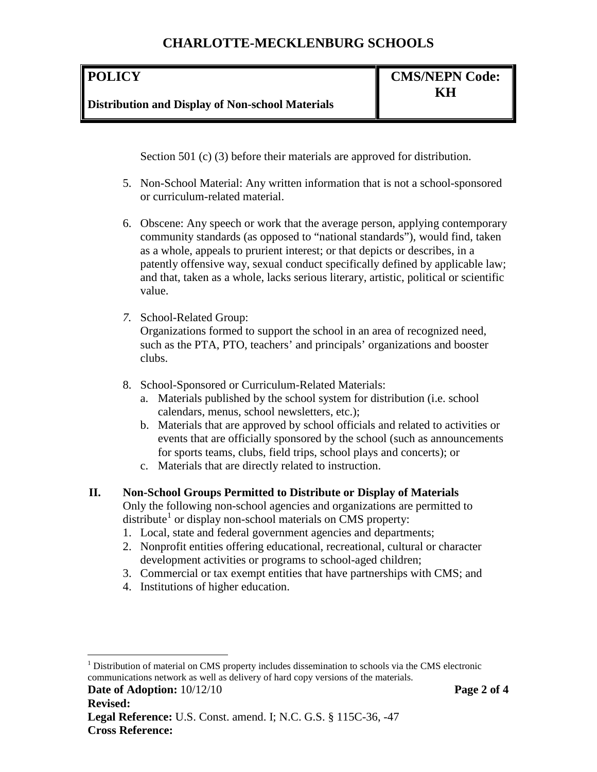| <b>POLICY</b>                                           | <b>CMS/NEPN Code:</b> |
|---------------------------------------------------------|-----------------------|
| <b>Distribution and Display of Non-school Materials</b> | KН                    |

Section 501 (c) (3) before their materials are approved for distribution.

- 5. Non-School Material: Any written information that is not a school-sponsored or curriculum-related material.
- 6. Obscene: Any speech or work that the average person, applying contemporary community standards (as opposed to "national standards"), would find, taken as a whole, appeals to prurient interest; or that depicts or describes, in a patently offensive way, sexual conduct specifically defined by applicable law; and that, taken as a whole, lacks serious literary, artistic, political or scientific value.
- *7.* School-Related Group:

Organizations formed to support the school in an area of recognized need, such as the PTA, PTO, teachers' and principals' organizations and booster clubs.

- 8. School-Sponsored or Curriculum-Related Materials:
	- a. Materials published by the school system for distribution (i.e. school calendars, menus, school newsletters, etc.);
	- b. Materials that are approved by school officials and related to activities or events that are officially sponsored by the school (such as announcements for sports teams, clubs, field trips, school plays and concerts); or
	- c. Materials that are directly related to instruction.

### **II. Non-School Groups Permitted to Distribute or Display of Materials**

Only the following non-school agencies and organizations are permitted to distribute<sup>[1](#page-1-0)</sup> or display non-school materials on CMS property:

- 1. Local, state and federal government agencies and departments;
- 2. Nonprofit entities offering educational, recreational, cultural or character development activities or programs to school-aged children;
- 3. Commercial or tax exempt entities that have partnerships with CMS; and
- 4. Institutions of higher education.

<span id="page-1-0"></span> $<sup>1</sup>$  Distribution of material on CMS property includes dissemination to schools via the CMS electronic</sup> communications network as well as delivery of hard copy versions of the materials.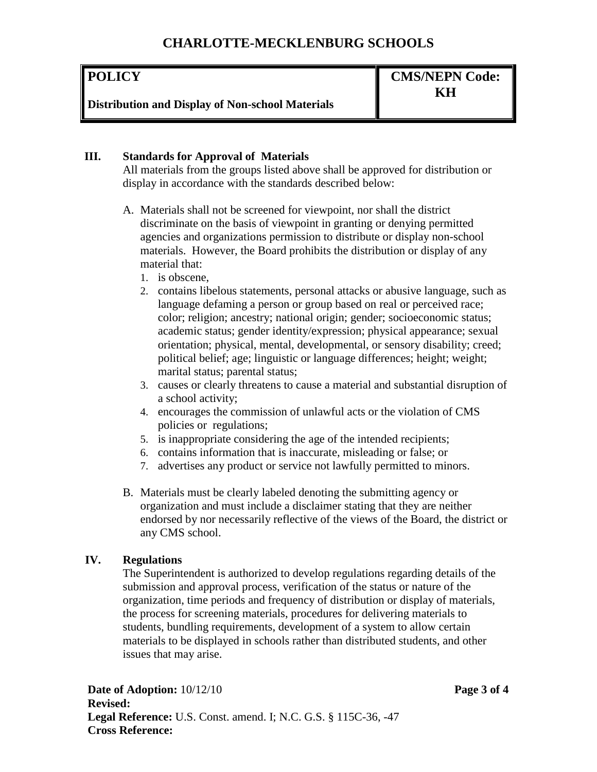| <b>POLICY</b>                                           | <b>CMS/NEPN Code:</b> |
|---------------------------------------------------------|-----------------------|
| <b>Distribution and Display of Non-school Materials</b> | KН                    |

#### **III. Standards for Approval of Materials**

All materials from the groups listed above shall be approved for distribution or display in accordance with the standards described below:

- A. Materials shall not be screened for viewpoint, nor shall the district discriminate on the basis of viewpoint in granting or denying permitted agencies and organizations permission to distribute or display non-school materials. However, the Board prohibits the distribution or display of any material that:
	- 1. is obscene,
	- 2. contains libelous statements, personal attacks or abusive language, such as language defaming a person or group based on real or perceived race; color; religion; ancestry; national origin; gender; socioeconomic status; academic status; gender identity/expression; physical appearance; sexual orientation; physical, mental, developmental, or sensory disability; creed; political belief; age; linguistic or language differences; height; weight; marital status; parental status;
	- 3. causes or clearly threatens to cause a material and substantial disruption of a school activity;
	- 4. encourages the commission of unlawful acts or the violation of CMS policies or regulations;
	- 5. is inappropriate considering the age of the intended recipients;
	- 6. contains information that is inaccurate, misleading or false; or
	- 7. advertises any product or service not lawfully permitted to minors.
- B. Materials must be clearly labeled denoting the submitting agency or organization and must include a disclaimer stating that they are neither endorsed by nor necessarily reflective of the views of the Board, the district or any CMS school.

#### **IV. Regulations**

The Superintendent is authorized to develop regulations regarding details of the submission and approval process, verification of the status or nature of the organization, time periods and frequency of distribution or display of materials, the process for screening materials, procedures for delivering materials to students, bundling requirements, development of a system to allow certain materials to be displayed in schools rather than distributed students, and other issues that may arise.